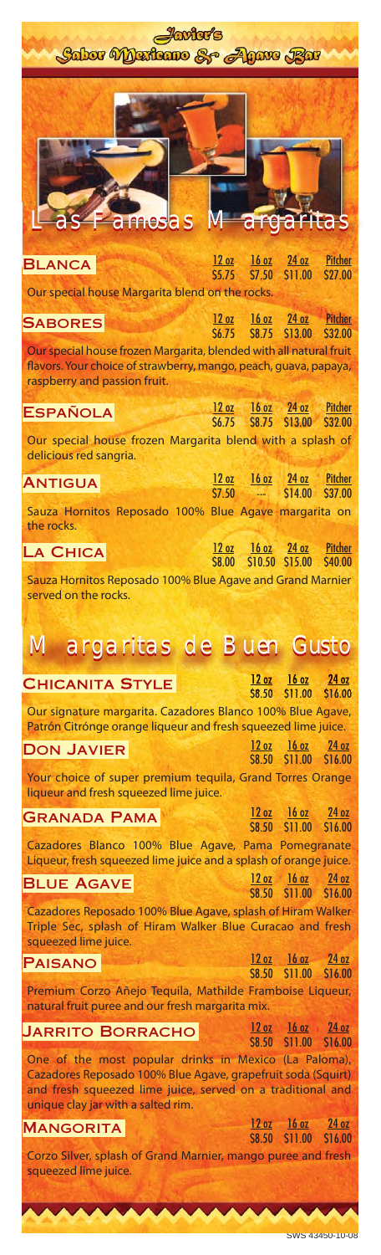| <b>Javier's</b>                                                                                                                                                                     |              |              |                                                    |                                        |
|-------------------------------------------------------------------------------------------------------------------------------------------------------------------------------------|--------------|--------------|----------------------------------------------------|----------------------------------------|
| Sabor Maritano & Agave Bar                                                                                                                                                          |              |              |                                                    |                                        |
| <b>amusas Margaritas</b>                                                                                                                                                            |              |              |                                                    |                                        |
| <b>BLANCA</b>                                                                                                                                                                       |              |              | 12 oz 16 oz 24 oz Pitcher<br>\$5.75 \$7.50 \$11.00 | <b>S27.00</b>                          |
| Our special house Margarita blend on the rocks.                                                                                                                                     |              |              |                                                    |                                        |
| <b>SABORES</b>                                                                                                                                                                      |              |              | 12 oz 16 oz 24 oz Pitcher<br>\$6.75 \$8.75 \$13.00 | <b>S32.00</b>                          |
| Our special house frozen Margarita, blended with all natural fruit<br>flavors. Your choice of strawberry, mango, peach, guava, papaya,<br>raspberry and passion fruit.              |              |              |                                                    |                                        |
| <b>ESPAÑOLA</b>                                                                                                                                                                     | \$6.75       |              | 12 oz 16 oz 24 oz Pitcher<br>S8.75 \$13.00         | \$32.00                                |
| Our special house frozen Margarita blend with a splash of<br>delicious red sangria.                                                                                                 |              |              |                                                    |                                        |
| <b>ANTIGUA</b>                                                                                                                                                                      | S7.50        |              | 12 oz 16 oz 24 oz Pitcher<br>$ $14.00$             | <b>S37.00</b>                          |
| Sauza Hornitos Reposado 100% Blue Agave margarita on<br>the rocks.                                                                                                                  |              |              |                                                    |                                        |
| <b>LA CHICA</b>                                                                                                                                                                     | <b>S8.00</b> |              | 12 oz 16 oz 24 oz Pitcher<br>\$10.50 \$15.00       | \$40.00                                |
| Sauza Hornitos Reposado 100% Blue Agave and Grand Marnier<br>served on the rocks.                                                                                                   |              |              |                                                    |                                        |
| <b>Margaritas de Buen Gusto</b>                                                                                                                                                     |              |              |                                                    |                                        |
| <b>CHICANITA STYLE</b>                                                                                                                                                              |              |              | $12 oz$ $16 oz$ $24 oz$<br>S8.50 S11.00            | \$16.00                                |
| Our signature margarita. Cazadores Blanco 100% Blue Agave,<br>Patrón Citrónge orange liqueur and fresh squeezed lime juice.                                                         |              |              |                                                    |                                        |
| <b>DON JAVIER</b>                                                                                                                                                                   |              |              | $12 oz$ $16 oz$ $24 oz$<br>\$8.50 \$11.00 \$16.00  |                                        |
| Your choice of super premium tequila, Grand Torres Orange<br>liqueur and fresh squeezed lime juice.                                                                                 |              |              |                                                    |                                        |
| <b>GRANADA PAMA</b>                                                                                                                                                                 |              |              | $12 oz$ $16 oz$<br>\$8.50 \$11.00                  | 24 <sub>oz</sub><br>S <sub>16.00</sub> |
| Cazadores Blanco 100% Blue Agave, Pama Pomegranate<br>Liqueur, fresh squeezed lime juice and a splash of orange juice.                                                              |              |              |                                                    |                                        |
| <b>BLUE AGAVE</b>                                                                                                                                                                   |              |              | $12 oz$ $16 oz$ $24 oz$<br>\$8.50 \$11.00 \$16.00  |                                        |
| Cazadores Reposado 100% Blue Agave, splash of Hiram Walker<br>Triple Sec, splash of Hiram Walker Blue Curacao and fresh                                                             |              |              |                                                    |                                        |
| squeezed lime juice.<br><b>PAISANO</b>                                                                                                                                              |              |              | 12 oz 16 oz 24 oz                                  |                                        |
| Premium Corzo Añejo Tequila, Mathilde Framboise Liqueur,<br>natural fruit puree and our fresh margarita mix.                                                                        |              | \$8.50       |                                                    | S11.00 \$16.00                         |
| <b>JARRITO BORRACHO</b>                                                                                                                                                             |              |              | $12 oz$ $16 oz$ $24 oz$                            |                                        |
| One of the most popular drinks in Mexico (La Paloma),<br>Cazadores Reposado 100% Blue Agave, grapefruit soda (Squirt)<br>and fresh squeezed lime juice, served on a traditional and |              | <b>S8.50</b> |                                                    | \$11.00 \$16.00                        |
| unique clay jar with a salted rim.<br><b>MANGORITA</b>                                                                                                                              |              |              | $12 oz$ $16 oz$                                    | 24 oz                                  |
| Corzo Silver, splash of Grand Marnier, mango puree and fresh<br>squeezed lime juice.                                                                                                |              | \$8.50       | \$11.00                                            | \$16.00                                |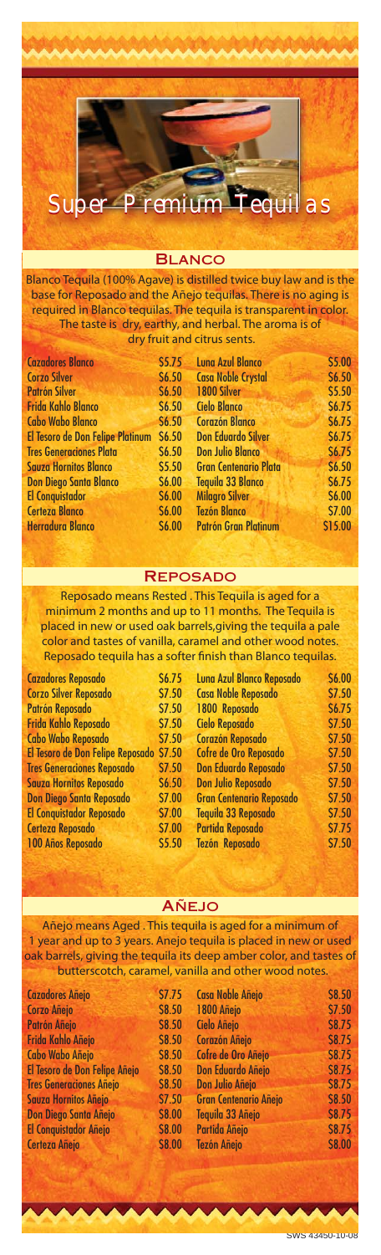

## **BLANCO**

Blanco Tequila (100% Agave) is distilled twice buy law and is the base for Reposado and the Añejo tequilas. There is no aging is required in Blanco tequilas. The tequila is transparent in color. The taste is dry, earthy, and herbal. The aroma is of dry fruit and citrus sents.

| <b>Cazadores Blanco</b>          | \$5.75       | <b>Luna Azul Blanco</b>      | \$5.00       |
|----------------------------------|--------------|------------------------------|--------------|
| <b>Corzo Silver</b>              | \$6.50\$     | <b>Casa Noble Crystal</b>    | \$6.50       |
| <b>Patrón Silver</b>             | \$6.50\$     | 1800 Silver                  | \$5.50       |
| <b>Frida Kahlo Blanco</b>        | \$6.50\$     | <b>Cielo Blanco</b>          | \$6.75       |
| <b>Cabo Wabo Blanco</b>          | <b>S6.50</b> | <b>Corazón Blanco</b>        | \$6.75       |
| El Tesoro de Don Felipe Platinum | S6.50        | <b>Don Eduardo Silver</b>    | \$6.75       |
| <b>Tres Generaciones Plata</b>   | \$6.50\$     | <b>Don Julio Blanco</b>      | S6.75        |
| <b>Sauza Hornitos Blanco</b>     | \$5.50       | <b>Gran Centenario Plata</b> | \$6.50       |
| <b>Don Diego Santa Blanco</b>    | <b>S6.00</b> | <b>Tequila 33 Blanco</b>     | <b>S6.75</b> |
| <b>El Conquistador</b>           | <b>S6.00</b> | <b>Milagro Silver</b>        | \$6.00       |
| <b>Certeza Blanco</b>            | <b>S6.00</b> | <b>Tezón Blanco</b>          | \$7.00       |
| <b>Herradura Blanco</b>          | \$6.00\$     | <b>Patrón Gran Platinum</b>  | \$15.00      |
|                                  |              |                              |              |

## **REPOSADO**

Reposado means Rested . This Tequila is aged for a minimum 2 months and up to 11 months. The Tequila is placed in new or used oak barrels,giving the tequila a pale .<br>color and tastes of vanilla, caramel and other wood notes. Reposado tequila has a softer finish than Blanco tequilas.

| <b>Cazadores Reposado</b>               | <b>S6.75</b>  | Luna Azul Blanco Reposado       | \$6.00 |
|-----------------------------------------|---------------|---------------------------------|--------|
| <b>Corzo Silver Reposado</b>            | \$7.50        | <b>Casa Noble Reposado</b>      | \$7.50 |
| Patrón Reposado                         | \$7.50        | 1800 Reposado                   | \$6.75 |
| <b>Frida Kahlo Reposado</b>             | \$7.50        | <b>Cielo Reposado</b>           | \$7.50 |
| <b>Cabo Wabo Reposado</b>               | \$7.50        | <b>Corazón Reposado</b>         | \$7.50 |
| El Tesoro de Don Felipe Reposado \$7.50 |               | Cofre de Oro Reposado           | \$7.50 |
| <b>Tres Generaciones Reposado</b>       | \$7.50        | <b>Don Eduardo Reposado</b>     | \$7.50 |
| <b>Sauza Hornitos Reposado</b>          | \$6.50        | <b>Don Julio Reposado</b>       | \$7.50 |
| <b>Don Diego Santa Reposado</b>         | \$7.00        | <b>Gran Centenario Reposado</b> | \$7.50 |
| <b>El Conquistador Reposado</b>         | <b>\$7.00</b> | Tequila 33 Reposado             | \$7.50 |
| <b>Certeza Reposado</b>                 | \$7.00        | Partida Reposado                | \$7.75 |
| 100 Años Reposado                       | \$5.50        | <b>Tezón Reposado</b>           | \$7.50 |
|                                         |               |                                 |        |

## **AÑEJO**

Añejo means Aged . This tequila is aged for a minimum of 1 year and up to 3 years. Anejo tequila is placed in new or used oak barrels, giving the tequila its deep amber color, and tastes of butterscotch, caramel, vanilla and other wood notes.

| <b>Cazadores Añejo</b>         | \$7.75       | <b>Casa Noble Añejo</b>      | \$8.50        |
|--------------------------------|--------------|------------------------------|---------------|
| <b>Corzo Añejo</b>             | \$8.50       | 1800 Añejo                   | \$7.50        |
| Patrón Añejo                   | \$8.50       | Cielo Añejo                  | <b>\$8.75</b> |
| Frida Kahlo Añejo              | \$8.50       | <b>Corazón Añejo</b>         | \$8.75        |
| <b>Cabo Wabo Añejo</b>         | <b>S8.50</b> | Cofre de Oro Añejo           | <b>\$8.75</b> |
| El Tesoro de Don Felipe Añejo  | \$8.50       | <b>Don Eduardo Añejo</b>     | <b>\$8.75</b> |
| <b>Tres Generaciones Añejo</b> | \$8.50       | Don Julio Añejo              | <b>S8.75</b>  |
| Sauza Hornitos Añejo           | \$7.50       | <b>Gran Centenario Añejo</b> | <b>\$8.50</b> |
| Don Diego Santa Añejo          | \$8.00       | Tequila 33 Añejo             | \$8.75        |
| El Conquistador Añejo          | \$8.00       | Partida Añejo                | \$8.75        |
| <b>Certeza Añejo</b>           | \$8.00       | <b>Tezón Añejo</b>           | \$8.00        |
|                                |              |                              |               |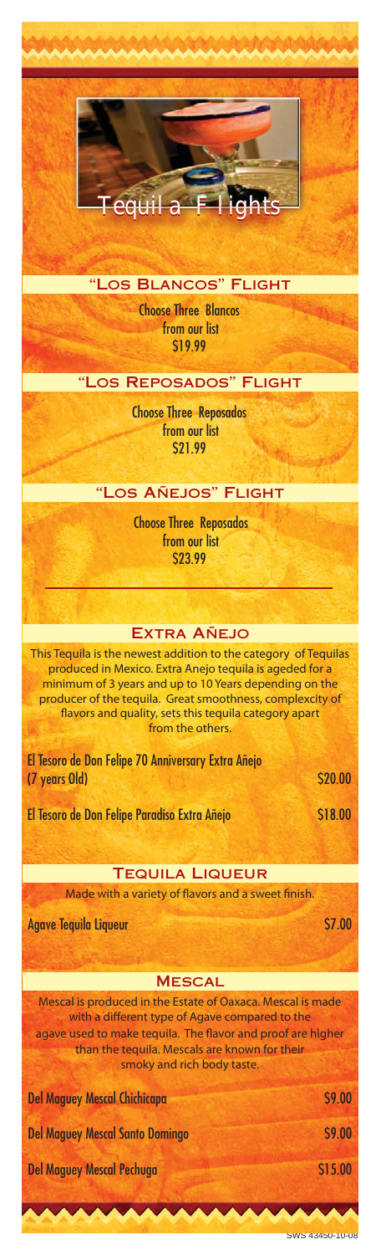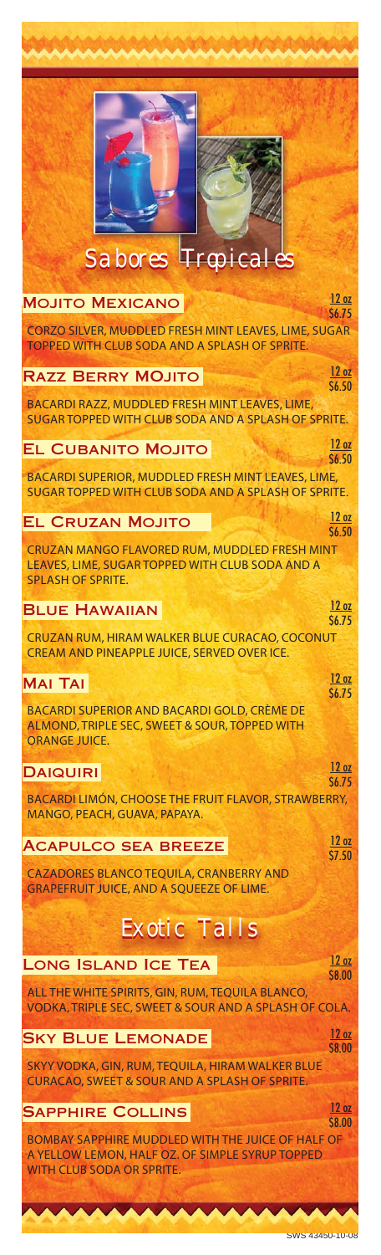| Sabores <b>Troicales</b>                                                                                                                        |                                  |
|-------------------------------------------------------------------------------------------------------------------------------------------------|----------------------------------|
| <b>MOJITO MEXICANO</b>                                                                                                                          | 12 oz<br><b>S6.75</b>            |
| CORZO SILVER, MUDDLED FRESH MINT LEAVES, LIME, SUGAR<br><b>TOPPED WITH CLUB SODA AND A SPLASH OF SPRITE.</b>                                    |                                  |
| <b>RAZZ BERRY MOJITO</b>                                                                                                                        | 12oz<br>\$6.50                   |
| BACARDI RAZZ, MUDDLED FRESH MINT LEAVES, LIME,<br>SUGAR TOPPED WITH CLUB SODA AND A SPLASH OF SPRITE.                                           |                                  |
| <b>EL CUBANITO MOJITO</b>                                                                                                                       | 12 <sub>oz</sub><br><b>S6.50</b> |
| BACARDI SUPERIOR, MUDDLED FRESH MINT LEAVES, LIME,<br>SUGAR TOPPED WITH CLUB SODA AND A SPLASH OF SPRITE.                                       |                                  |
| <b>EL CRUZAN MOJITO</b>                                                                                                                         | 12 <sub>oz</sub>                 |
| CRUZAN MANGO FLAVORED RUM, MUDDLED FRESH MINT<br>LEAVES, LIME, SUGAR TOPPED WITH CLUB SODA AND A<br><b>SPLASH OF SPRITE.</b>                    | <b>S6.50</b>                     |
| <b>BLUE HAWAIIAN</b>                                                                                                                            | 12 oz<br>\$6.75                  |
| CRUZAN RUM, HIRAM WALKER BLUE CURACAO, COCONUT<br>CREAM AND PINEAPPLE JUICE, SERVED OVER ICE.                                                   |                                  |
| <b>MAI TAI</b>                                                                                                                                  | 12 oz<br>S6.75                   |
| <b>BACARDI SUPERIOR AND BACARDI GOLD, CRÈME DE</b><br>ALMOND, TRIPLE SEC, SWEET & SOUR, TOPPED WITH<br><b>ORANGE JUICE.</b>                     |                                  |
| <b>DAIQUIRI</b>                                                                                                                                 | 12 oz<br><b>S6.75</b>            |
| <b>BACARDI LIMÓN, CHOOSE THE FRUIT FLAVOR, STRAWBERRY,</b><br>MANGO, PEACH, GUAVA, PAPAYA.                                                      |                                  |
| <b>ACAPULCO SEA BREEZE</b>                                                                                                                      | 12 oz<br>S7.50                   |
| <b>CAZADORES BLANCO TEQUILA, CRANBERRY AND</b><br><b>GRAPEFRUIT JUICE, AND A SQUEEZE OF LIME.</b>                                               |                                  |
| <b>Exotic Talls</b>                                                                                                                             |                                  |
| <b>LONG ISLAND ICE TEA</b>                                                                                                                      | 12 oz<br>\$8.00                  |
| ALL THE WHITE SPIRITS, GIN, RUM, TEQUILA BLANCO,<br>VODKA, TRIPLE SEC, SWEET & SOUR AND A SPLASH OF COLA.                                       |                                  |
| <b>SKY BLUE LEMONADE</b>                                                                                                                        | 12 oz<br><b>S8.00</b>            |
| SKYY VODKA, GIN, RUM, TEQUILA, HIRAM WALKER BLUE<br><b>CURACAO, SWEET &amp; SOUR AND A SPLASH OF SPRITE.</b>                                    |                                  |
| <b>SAPPHIRE COLLINS</b>                                                                                                                         | 12 oz<br><b>S8.00</b>            |
| <b>BOMBAY SAPPHIRE MUDDLED WITH THE JUICE OF HALF OF</b><br>A YELLOW LEMON, HALF OZ. OF SIMPLE SYRUP TOPPED<br><b>WITH CLUB SODA OR SPRITE.</b> |                                  |
|                                                                                                                                                 |                                  |

 $\sim$   $\sim$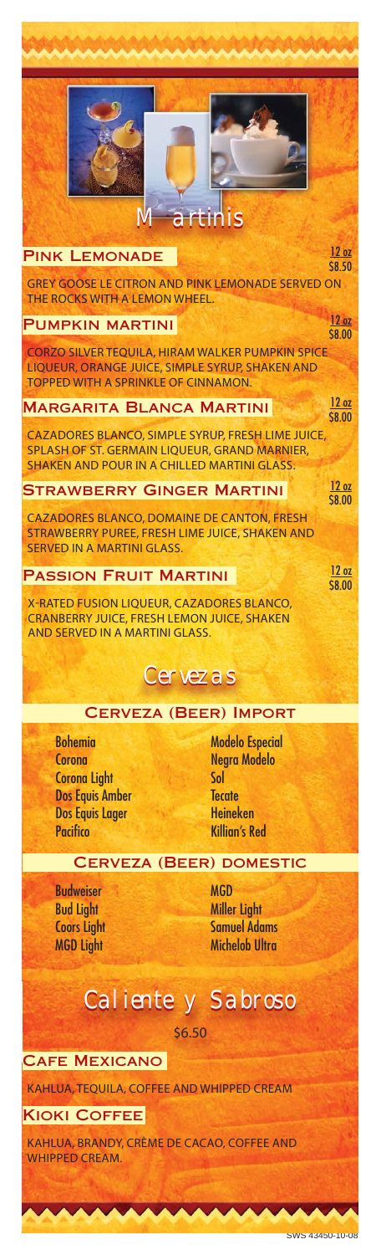